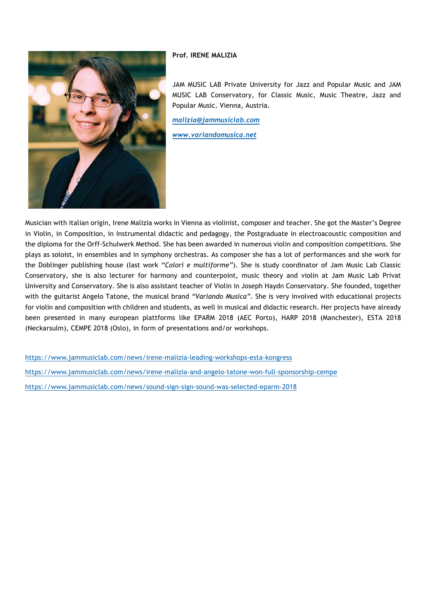## **Prof. IRENE MALIZIA**



JAM MUSIC LAB Private University for Jazz and Popular Music and JAM MUSIC LAB Conservatory, for Classic Music, Music Theatre, Jazz and Popular Music. Vienna, Austria*.* 

*malizia@jammusiclab.com*

*www.variandomusica.net*

Musician with italian origin, Irene Malizia works in Vienna as violinist, composer and teacher. She got the Master's Degree in Violin, in Composition, in Instrumental didactic and pedagogy, the Postgraduate in electroacoustic composition and the diploma for the Orff-Schulwerk Method. She has been awarded in numerous violin and composition competitions. She plays as soloist, in ensembles and in symphony orchestras. As composer she has a lot of performances and she work for the Doblinger publishing house (last work *"Colori e multiforme"*). She is study coordinator of Jam Music Lab Classic Conservatory, she is also lecturer for harmony and counterpoint, music theory and violin at Jam Music Lab Privat University and Conservatory. She is also assistant teacher of Violin in Joseph Haydn Conservatory. She founded, together with the guitarist Angelo Tatone, the musical brand *"Variando Musica"*. She is very involved with educational projects for violin and composition with children and students, as well in musical and didactic research. Her projects have already been presented in many european plattforms like EPARM 2018 (AEC Porto), HARP 2018 (Manchester), ESTA 2018 (Neckarsulm), CEMPE 2018 (Oslo), in form of presentations and/or workshops.

https://www.jammusiclab.com/news/irene-malizia-leading-workshops-esta-kongress https://www.jammusiclab.com/news/irene-malizia-and-angelo-tatone-won-full-sponsorship-cempe https://www.jammusiclab.com/news/sound-sign-sign-sound-was-selected-eparm-2018